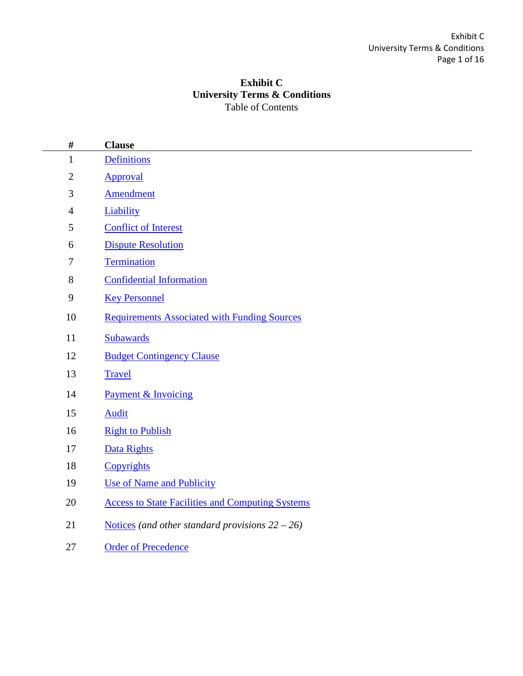# **Exhibit C University Terms & Conditions** Table of Contents

<span id="page-0-0"></span>

| $\#$             | <b>Clause</b>                                           |
|------------------|---------------------------------------------------------|
| $\mathbf{1}$     | <b>Definitions</b>                                      |
| $\mathbf{2}$     | Approval                                                |
| $\mathfrak{Z}$   | <b>Amendment</b>                                        |
| $\overline{4}$   | Liability                                               |
| $\mathfrak s$    | <b>Conflict of Interest</b>                             |
| 6                | <b>Dispute Resolution</b>                               |
| $\tau$           | Termination                                             |
| $8\,$            | <b>Confidential Information</b>                         |
| $\boldsymbol{9}$ | <b>Key Personnel</b>                                    |
| 10               | <b>Requirements Associated with Funding Sources</b>     |
| 11               | Subawards                                               |
| 12               | <b>Budget Contingency Clause</b>                        |
| 13               | <b>Travel</b>                                           |
| 14               | <b>Payment &amp; Invoicing</b>                          |
| 15               | <b>Audit</b>                                            |
| 16               | <b>Right to Publish</b>                                 |
| 17               | Data Rights                                             |
| 18               | Copyrights                                              |
| 19               | <b>Use of Name and Publicity</b>                        |
| 20               | <b>Access to State Facilities and Computing Systems</b> |
| 21               | Notices (and other standard provisions $22 - 26$ )      |
| 27               | <b>Order of Precedence</b>                              |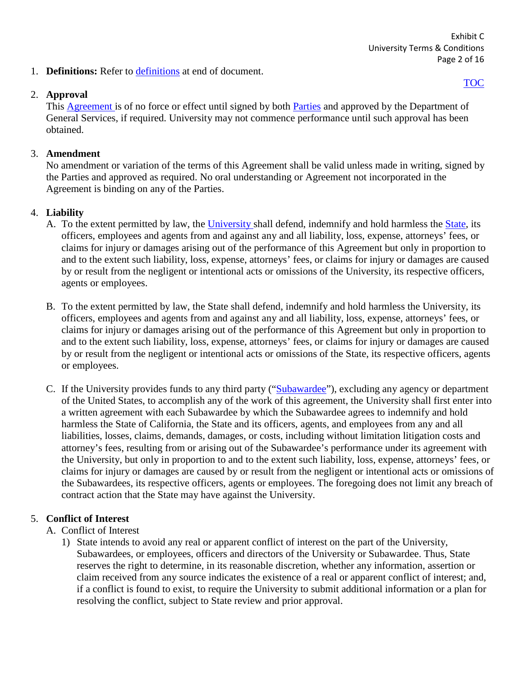1. **Definitions:** Refer to [definitions](#page-13-0) at end of document.

## <span id="page-1-0"></span>2. **Approval**

[TOC](#page-0-0)

This [Agreement i](#page-13-1)s of no force or effect until signed by both [Parties](#page-14-0) and approved by the Department of General Services, if required. University may not commence performance until such approval has been obtained.

# <span id="page-1-1"></span>3. **Amendment**

No amendment or variation of the terms of this Agreement shall be valid unless made in writing, signed by the Parties and approved as required. No oral understanding or Agreement not incorporated in the Agreement is binding on any of the Parties.

# <span id="page-1-2"></span>4. **Liability**

- A. To the extent permitted by law, the [University s](#page-15-0)hall defend, indemnify and hold harmless the [State,](#page-15-1) its officers, employees and agents from and against any and all liability, loss, expense, attorneys' fees, or claims for injury or damages arising out of the performance of this Agreement but only in proportion to and to the extent such liability, loss, expense, attorneys' fees, or claims for injury or damages are caused by or result from the negligent or intentional acts or omissions of the University, its respective officers, agents or employees.
- B. To the extent permitted by law, the State shall defend, indemnify and hold harmless the University, its officers, employees and agents from and against any and all liability, loss, expense, attorneys' fees, or claims for injury or damages arising out of the performance of this Agreement but only in proportion to and to the extent such liability, loss, expense, attorneys' fees, or claims for injury or damages are caused by or result from the negligent or intentional acts or omissions of the State, its respective officers, agents or employees.
- C. If the University provides funds to any third party (["Subawardee"](#page-15-2)), excluding any agency or department of the United States, to accomplish any of the work of this agreement, the University shall first enter into a written agreement with each Subawardee by which the Subawardee agrees to indemnify and hold harmless the State of California, the State and its officers, agents, and employees from any and all liabilities, losses, claims, demands, damages, or costs, including without limitation litigation costs and attorney's fees, resulting from or arising out of the Subawardee's performance under its agreement with the University, but only in proportion to and to the extent such liability, loss, expense, attorneys' fees, or claims for injury or damages are caused by or result from the negligent or intentional acts or omissions of the Subawardees, its respective officers, agents or employees. The foregoing does not limit any breach of contract action that the State may have against the University.

# <span id="page-1-3"></span>5. **Conflict of Interest**

- A. Conflict of Interest
	- 1) State intends to avoid any real or apparent conflict of interest on the part of the University, Subawardees, or employees, officers and directors of the University or Subawardee. Thus, State reserves the right to determine, in its reasonable discretion, whether any information, assertion or claim received from any source indicates the existence of a real or apparent conflict of interest; and, if a conflict is found to exist, to require the University to submit additional information or a plan for resolving the conflict, subject to State review and prior approval.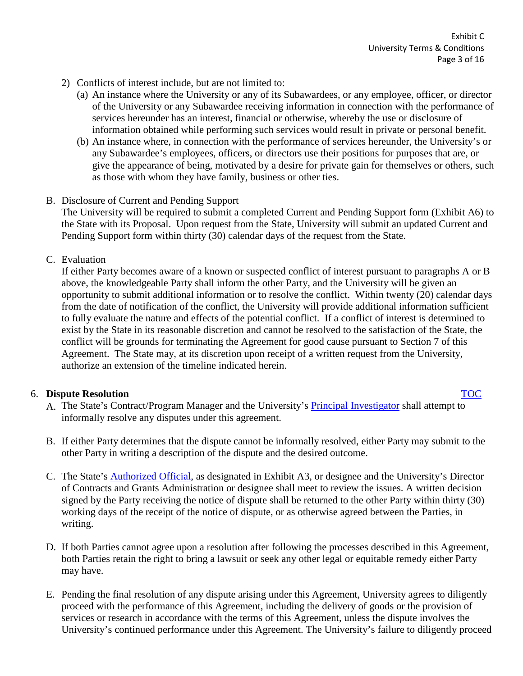- 2) Conflicts of interest include, but are not limited to:
	- (a) An instance where the University or any of its Subawardees, or any employee, officer, or director of the University or any Subawardee receiving information in connection with the performance of services hereunder has an interest, financial or otherwise, whereby the use or disclosure of information obtained while performing such services would result in private or personal benefit.
	- (b) An instance where, in connection with the performance of services hereunder, the University's or any Subawardee's employees, officers, or directors use their positions for purposes that are, or give the appearance of being, motivated by a desire for private gain for themselves or others, such as those with whom they have family, business or other ties.
- B. Disclosure of Current and Pending Support

The University will be required to submit a completed Current and Pending Support form (Exhibit A6) to the State with its Proposal. Upon request from the State, University will submit an updated Current and Pending Support form within thirty (30) calendar days of the request from the State.

C. Evaluation

If either Party becomes aware of a known or suspected conflict of interest pursuant to paragraphs A or B above, the knowledgeable Party shall inform the other Party, and the University will be given an opportunity to submit additional information or to resolve the conflict. Within twenty (20) calendar days from the date of notification of the conflict, the University will provide additional information sufficient to fully evaluate the nature and effects of the potential conflict. If a conflict of interest is determined to exist by the State in its reasonable discretion and cannot be resolved to the satisfaction of the State, the conflict will be grounds for terminating the Agreement for good cause pursuant to Section 7 of this Agreement. The State may, at its discretion upon receipt of a written request from the University, authorize an extension of the timeline indicated herein.

## <span id="page-2-0"></span>6. **Dispute Resolution** [TOC](#page-0-0)

- A. The State's Contract/Program Manager and the University's [Principal Investigator](#page-14-1) shall attempt to informally resolve any disputes under this agreement.
- B. If either Party determines that the dispute cannot be informally resolved, either Party may submit to the other Party in writing a description of the dispute and the desired outcome.
- C. The State's [Authorized Official,](#page-13-2) as designated in Exhibit A3, or designee and the University's Director of Contracts and Grants Administration or designee shall meet to review the issues. A written decision signed by the Party receiving the notice of dispute shall be returned to the other Party within thirty (30) working days of the receipt of the notice of dispute, or as otherwise agreed between the Parties, in writing.
- D. If both Parties cannot agree upon a resolution after following the processes described in this Agreement, both Parties retain the right to bring a lawsuit or seek any other legal or equitable remedy either Party may have.
- E. Pending the final resolution of any dispute arising under this Agreement, University agrees to diligently proceed with the performance of this Agreement, including the delivery of goods or the provision of services or research in accordance with the terms of this Agreement, unless the dispute involves the University's continued performance under this Agreement. The University's failure to diligently proceed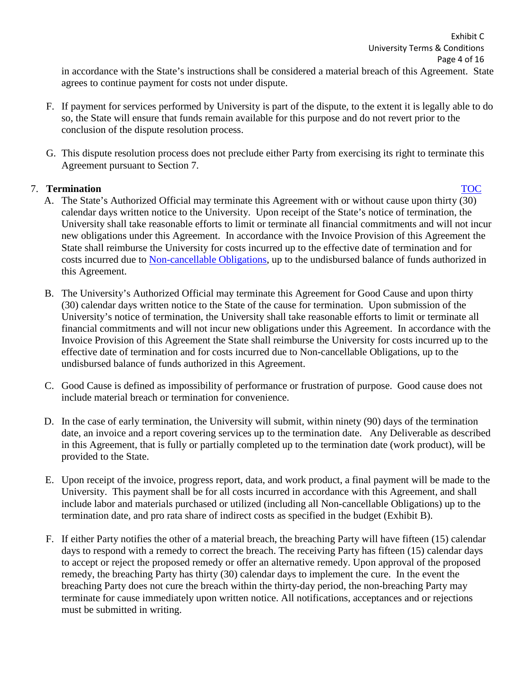in accordance with the State's instructions shall be considered a material breach of this Agreement. State agrees to continue payment for costs not under dispute.

- F. If payment for services performed by University is part of the dispute, to the extent it is legally able to do so, the State will ensure that funds remain available for this purpose and do not revert prior to the conclusion of the dispute resolution process.
- G. This dispute resolution process does not preclude either Party from exercising its right to terminate this Agreement pursuant to Section 7.

# <span id="page-3-0"></span>7. **Termination** [TOC](#page-0-0)

- A. The State's Authorized Official may terminate this Agreement with or without cause upon thirty (30) calendar days written notice to the University. Upon receipt of the State's notice of termination, the University shall take reasonable efforts to limit or terminate all financial commitments and will not incur new obligations under this Agreement. In accordance with the Invoice Provision of this Agreement the State shall reimburse the University for costs incurred up to the effective date of termination and for costs incurred due to [Non-cancellable Obligations,](#page-14-2) up to the undisbursed balance of funds authorized in this Agreement.
- B. The University's Authorized Official may terminate this Agreement for Good Cause and upon thirty (30) calendar days written notice to the State of the cause for termination. Upon submission of the University's notice of termination, the University shall take reasonable efforts to limit or terminate all financial commitments and will not incur new obligations under this Agreement. In accordance with the Invoice Provision of this Agreement the State shall reimburse the University for costs incurred up to the effective date of termination and for costs incurred due to Non-cancellable Obligations, up to the undisbursed balance of funds authorized in this Agreement.
- C. Good Cause is defined as impossibility of performance or frustration of purpose. Good cause does not include material breach or termination for convenience.
- D. In the case of early termination, the University will submit, within ninety (90) days of the termination date, an invoice and a report covering services up to the termination date. Any Deliverable as described in this Agreement, that is fully or partially completed up to the termination date (work product), will be provided to the State.
- E. Upon receipt of the invoice, progress report, data, and work product, a final payment will be made to the University. This payment shall be for all costs incurred in accordance with this Agreement, and shall include labor and materials purchased or utilized (including all Non-cancellable Obligations) up to the termination date, and pro rata share of indirect costs as specified in the budget (Exhibit B).
- F. If either Party notifies the other of a material breach, the breaching Party will have fifteen (15) calendar days to respond with a remedy to correct the breach. The receiving Party has fifteen (15) calendar days to accept or reject the proposed remedy or offer an alternative remedy. Upon approval of the proposed remedy, the breaching Party has thirty (30) calendar days to implement the cure. In the event the breaching Party does not cure the breach within the thirty-day period, the non-breaching Party may terminate for cause immediately upon written notice. All notifications, acceptances and or rejections must be submitted in writing.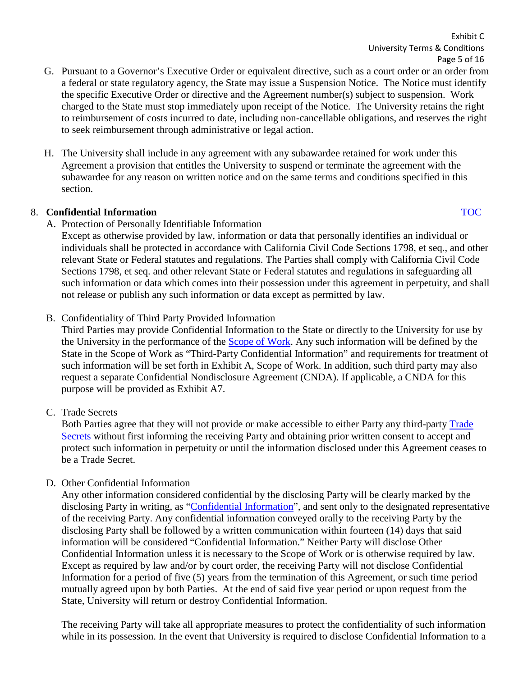Exhibit C University Terms & Conditions Page 5 of 16

- G. Pursuant to a Governor's Executive Order or equivalent directive, such as a court order or an order from a federal or state regulatory agency, the State may issue a Suspension Notice. The Notice must identify the specific Executive Order or directive and the Agreement number(s) subject to suspension. Work charged to the State must stop immediately upon receipt of the Notice. The University retains the right to reimbursement of costs incurred to date, including non-cancellable obligations, and reserves the right to seek reimbursement through administrative or legal action.
- H. The University shall include in any agreement with any subawardee retained for work under this Agreement a provision that entitles the University to suspend or terminate the agreement with the subawardee for any reason on written notice and on the same terms and conditions specified in this section.

## 8. **Confidential Information** [TOC](#page-0-0)

A. Protection of Personally Identifiable Information

<span id="page-4-0"></span>Except as otherwise provided by law, information or data that personally identifies an individual or individuals shall be protected in accordance with California Civil Code Sections 1798, et seq., and other relevant State or Federal statutes and regulations. The Parties shall comply with California Civil Code Sections 1798, et seq. and other relevant State or Federal statutes and regulations in safeguarding all such information or data which comes into their possession under this agreement in perpetuity, and shall not release or publish any such information or data except as permitted by law.

B. Confidentiality of Third Party Provided Information

Third Parties may provide Confidential Information to the State or directly to the University for use by the University in the performance of the [Scope of Work.](#page-15-3) Any such information will be defined by the State in the Scope of Work as "Third-Party Confidential Information" and requirements for treatment of such information will be set forth in Exhibit A, Scope of Work. In addition, such third party may also request a separate Confidential Nondisclosure Agreement (CNDA). If applicable, a CNDA for this purpose will be provided as Exhibit A7.

C. Trade Secrets

Both Parties agree that they will not provide or make accessible to either Party any third-party [Trade](#page-15-4)  [Secrets](#page-15-4) without first informing the receiving Party and obtaining prior written consent to accept and protect such information in perpetuity or until the information disclosed under this Agreement ceases to be a Trade Secret.

D. Other Confidential Information

Any other information considered confidential by the disclosing Party will be clearly marked by the disclosing Party in writing, as ["Confidential Information"](#page-13-3), and sent only to the designated representative of the receiving Party. Any confidential information conveyed orally to the receiving Party by the disclosing Party shall be followed by a written communication within fourteen (14) days that said information will be considered "Confidential Information." Neither Party will disclose Other Confidential Information unless it is necessary to the Scope of Work or is otherwise required by law. Except as required by law and/or by court order, the receiving Party will not disclose Confidential Information for a period of five (5) years from the termination of this Agreement, or such time period mutually agreed upon by both Parties. At the end of said five year period or upon request from the State, University will return or destroy Confidential Information.

The receiving Party will take all appropriate measures to protect the confidentiality of such information while in its possession. In the event that University is required to disclose Confidential Information to a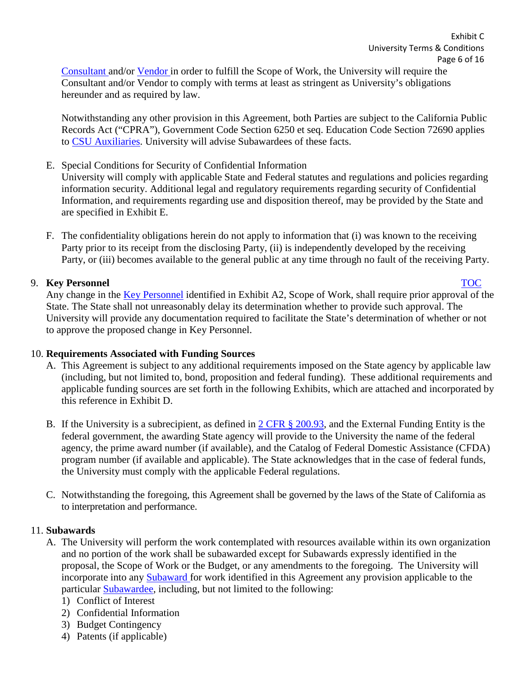[Consultant a](#page-13-4)nd/or [Vendor](#page-15-5) in order to fulfill the Scope of Work, the University will require the Consultant and/or Vendor to comply with terms at least as stringent as University's obligations hereunder and as required by law.

Notwithstanding any other provision in this Agreement, both Parties are subject to the California Public Records Act ("CPRA"), Government Code Section 6250 et seq. Education Code Section 72690 applies to [CSU Auxiliaries.](#page-13-5) University will advise Subawardees of these facts.

- E. Special Conditions for Security of Confidential Information University will comply with applicable State and Federal statutes and regulations and policies regarding information security. Additional legal and regulatory requirements regarding security of Confidential Information, and requirements regarding use and disposition thereof, may be provided by the State and are specified in Exhibit E.
- F. The confidentiality obligations herein do not apply to information that (i) was known to the receiving Party prior to its receipt from the disclosing Party, (ii) is independently developed by the receiving Party, or (iii) becomes available to the general public at any time through no fault of the receiving Party.

# <span id="page-5-0"></span>9. **Key Personnel** [TOC](#page-0-0)

Any change in the [Key Personnel](#page-14-3) identified in Exhibit A2, Scope of Work, shall require prior approval of the State. The State shall not unreasonably delay its determination whether to provide such approval. The University will provide any documentation required to facilitate the State's determination of whether or not to approve the proposed change in Key Personnel.

# <span id="page-5-1"></span>10. **Requirements Associated with Funding Sources**

- A. This Agreement is subject to any additional requirements imposed on the State agency by applicable law (including, but not limited to, bond, proposition and federal funding). These additional requirements and applicable funding sources are set forth in the following Exhibits, which are attached and incorporated by this reference in Exhibit D.
- B. If the University is a subrecipient, as defined in  $2 \text{ CFR } \frac{8}{3}$  200.93, and the External Funding Entity is the federal government, the awarding State agency will provide to the University the name of the federal agency, the prime award number (if available), and the Catalog of Federal Domestic Assistance (CFDA) program number (if available and applicable). The State acknowledges that in the case of federal funds, the University must comply with the applicable Federal regulations.
- C. Notwithstanding the foregoing, this Agreement shall be governed by the laws of the State of California as to interpretation and performance.

# <span id="page-5-2"></span>11. **Subawards**

- A. The University will perform the work contemplated with resources available within its own organization and no portion of the work shall be subawarded except for Subawards expressly identified in the proposal, the Scope of Work or the Budget, or any amendments to the foregoing. The University will incorporate into any [Subaward f](#page-15-6)or work identified in this Agreement any provision applicable to the particular [Subawardee,](#page-15-2) including, but not limited to the following:
	- 1) Conflict of Interest
	- 2) Confidential Information
	- 3) Budget Contingency
	- 4) Patents (if applicable)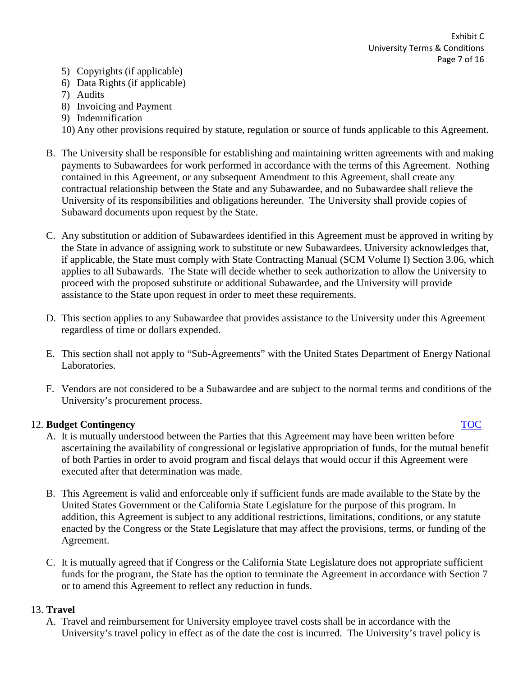- 5) Copyrights (if applicable)
- 6) Data Rights (if applicable)
- 7) Audits
- 8) Invoicing and Payment
- 9) Indemnification
- 10) Any other provisions required by statute, regulation or source of funds applicable to this Agreement.
- B. The University shall be responsible for establishing and maintaining written agreements with and making payments to Subawardees for work performed in accordance with the terms of this Agreement. Nothing contained in this Agreement, or any subsequent Amendment to this Agreement, shall create any contractual relationship between the State and any Subawardee, and no Subawardee shall relieve the University of its responsibilities and obligations hereunder. The University shall provide copies of Subaward documents upon request by the State.
- C. Any substitution or addition of Subawardees identified in this Agreement must be approved in writing by the State in advance of assigning work to substitute or new Subawardees. University acknowledges that, if applicable, the State must comply with State Contracting Manual (SCM Volume I) Section 3.06, which applies to all Subawards. The State will decide whether to seek authorization to allow the University to proceed with the proposed substitute or additional Subawardee, and the University will provide assistance to the State upon request in order to meet these requirements.
- D. This section applies to any Subawardee that provides assistance to the University under this Agreement regardless of time or dollars expended.
- E. This section shall not apply to "Sub-Agreements" with the United States Department of Energy National Laboratories.
- F. Vendors are not considered to be a Subawardee and are subject to the normal terms and conditions of the University's procurement process.

## <span id="page-6-0"></span>12. **Budget Contingency** [TOC](#page-0-0)

- A. It is mutually understood between the Parties that this Agreement may have been written before ascertaining the availability of congressional or legislative appropriation of funds, for the mutual benefit of both Parties in order to avoid program and fiscal delays that would occur if this Agreement were executed after that determination was made.
- B. This Agreement is valid and enforceable only if sufficient funds are made available to the State by the United States Government or the California State Legislature for the purpose of this program. In addition, this Agreement is subject to any additional restrictions, limitations, conditions, or any statute enacted by the Congress or the State Legislature that may affect the provisions, terms, or funding of the Agreement.
- C. It is mutually agreed that if Congress or the California State Legislature does not appropriate sufficient funds for the program, the State has the option to terminate the Agreement in accordance with Section 7 or to amend this Agreement to reflect any reduction in funds.

# <span id="page-6-1"></span>13. **Travel**

A. Travel and reimbursement for University employee travel costs shall be in accordance with the University's travel policy in effect as of the date the cost is incurred. The University's travel policy is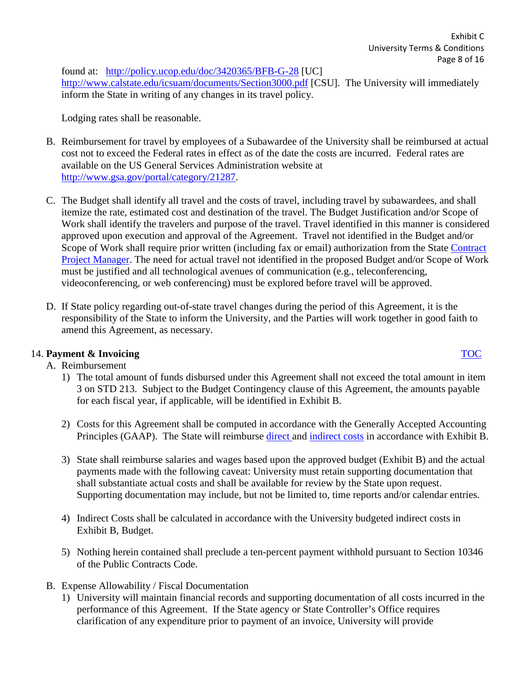found at: <http://policy.ucop.edu/doc/3420365/BFB-G-28> [UC] <http://www.calstate.edu/icsuam/documents/Section3000.pdf> [CSU]. The University will immediately inform the State in writing of any changes in its travel policy.

Lodging rates shall be reasonable.

- B. Reimbursement for travel by employees of a Subawardee of the University shall be reimbursed at actual cost not to exceed the Federal rates in effect as of the date the costs are incurred. Federal rates are available on the US General Services Administration website at [http://www.gsa.gov/portal/category/21287.](http://www.gsa.gov/portal/category/21287)
- C. The Budget shall identify all travel and the costs of travel, including travel by subawardees, and shall itemize the rate, estimated cost and destination of the travel. The Budget Justification and/or Scope of Work shall identify the travelers and purpose of the travel. Travel identified in this manner is considered approved upon execution and approval of the Agreement. Travel not identified in the Budget and/or Scope of Work shall require prior written (including fax or email) authorization from the State [Contract](#page-13-6)  [Project Manager.](#page-13-6) The need for actual travel not identified in the proposed Budget and/or Scope of Work must be justified and all technological avenues of communication (e.g., teleconferencing, videoconferencing, or web conferencing) must be explored before travel will be approved.
- D. If State policy regarding out-of-state travel changes during the period of this Agreement, it is the responsibility of the State to inform the University, and the Parties will work together in good faith to amend this Agreement, as necessary.

# <span id="page-7-0"></span>14. **Payment & Invoicing** [TOC](#page-0-0)

# A. Reimbursement

- 1) The total amount of funds disbursed under this Agreement shall not exceed the total amount in item 3 on STD 213. Subject to the Budget Contingency clause of this Agreement, the amounts payable for each fiscal year, if applicable, will be identified in Exhibit B.
- 2) Costs for this Agreement shall be computed in accordance with the Generally Accepted Accounting Principles (GAAP). The State will reimburse [direct a](#page-14-4)nd [indirect costs](#page-14-5) in accordance with Exhibit B.
- 3) State shall reimburse salaries and wages based upon the approved budget (Exhibit B) and the actual payments made with the following caveat: University must retain supporting documentation that shall substantiate actual costs and shall be available for review by the State upon request. Supporting documentation may include, but not be limited to, time reports and/or calendar entries.
- 4) Indirect Costs shall be calculated in accordance with the University budgeted indirect costs in Exhibit B, Budget.
- 5) Nothing herein contained shall preclude a ten-percent payment withhold pursuant to Section 10346 of the Public Contracts Code.
- B. Expense Allowability / Fiscal Documentation
	- 1) University will maintain financial records and supporting documentation of all costs incurred in the performance of this Agreement. If the State agency or State Controller's Office requires clarification of any expenditure prior to payment of an invoice, University will provide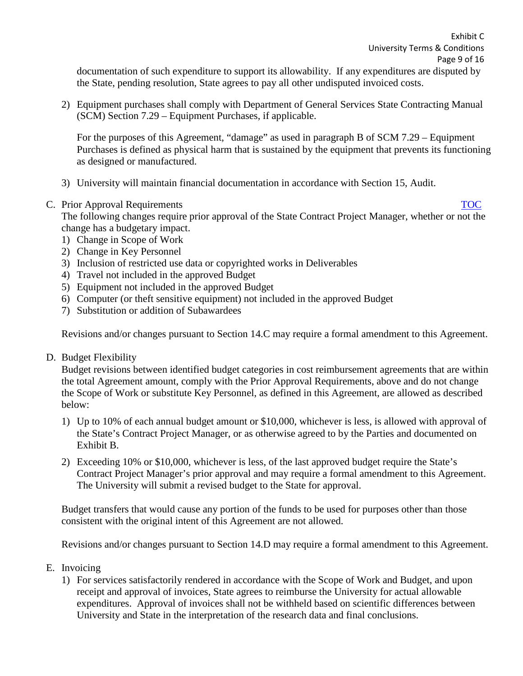documentation of such expenditure to support its allowability. If any expenditures are disputed by the State, pending resolution, State agrees to pay all other undisputed invoiced costs.

2) Equipment purchases shall comply with Department of General Services State Contracting Manual (SCM) Section 7.29 – Equipment Purchases, if applicable.

For the purposes of this Agreement, "damage" as used in paragraph B of SCM 7.29 – Equipment Purchases is defined as physical harm that is sustained by the equipment that prevents its functioning as designed or manufactured.

- 3) University will maintain financial documentation in accordance with Section 15, Audit.
- C. Prior Approval Requirements [TOC](#page-0-0)

The following changes require prior approval of the State Contract Project Manager, whether or not the change has a budgetary impact.

- 1) Change in Scope of Work
- 2) Change in Key Personnel
- 3) Inclusion of restricted use data or copyrighted works in Deliverables
- 4) Travel not included in the approved Budget
- 5) Equipment not included in the approved Budget
- 6) Computer (or theft sensitive equipment) not included in the approved Budget
- 7) Substitution or addition of Subawardees

Revisions and/or changes pursuant to Section 14.C may require a formal amendment to this Agreement.

D. Budget Flexibility

Budget revisions between identified budget categories in cost reimbursement agreements that are within the total Agreement amount, comply with the Prior Approval Requirements, above and do not change the Scope of Work or substitute Key Personnel, as defined in this Agreement, are allowed as described below:

- 1) Up to 10% of each annual budget amount or \$10,000, whichever is less, is allowed with approval of the State's Contract Project Manager, or as otherwise agreed to by the Parties and documented on Exhibit B.
- 2) Exceeding 10% or \$10,000, whichever is less, of the last approved budget require the State's Contract Project Manager's prior approval and may require a formal amendment to this Agreement. The University will submit a revised budget to the State for approval.

Budget transfers that would cause any portion of the funds to be used for purposes other than those consistent with the original intent of this Agreement are not allowed.

Revisions and/or changes pursuant to Section 14.D may require a formal amendment to this Agreement.

- E. Invoicing
	- 1) For services satisfactorily rendered in accordance with the Scope of Work and Budget, and upon receipt and approval of invoices, State agrees to reimburse the University for actual allowable expenditures. Approval of invoices shall not be withheld based on scientific differences between University and State in the interpretation of the research data and final conclusions.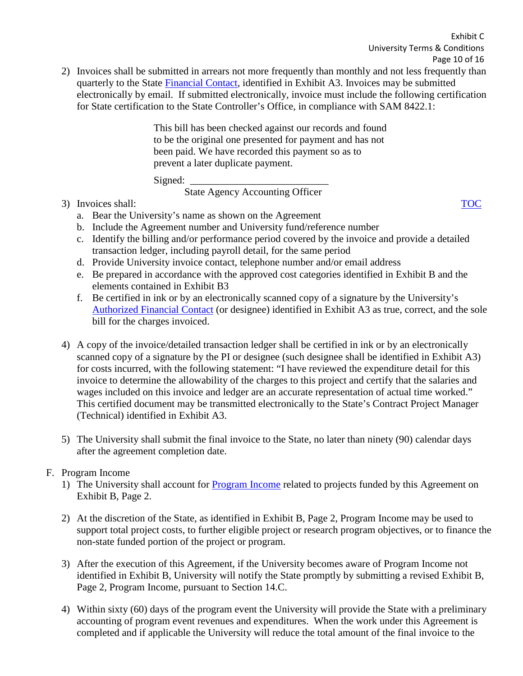2) Invoices shall be submitted in arrears not more frequently than monthly and not less frequently than quarterly to the State [Financial Contact,](#page-14-6) identified in Exhibit A3. Invoices may be submitted electronically by email. If submitted electronically, invoice must include the following certification for State certification to the State Controller's Office, in compliance with SAM 8422.1:

> This bill has been checked against our records and found to be the original one presented for payment and has not been paid. We have recorded this payment so as to prevent a later duplicate payment.

Signed: \_\_\_\_\_\_\_\_\_\_\_\_\_\_\_\_\_\_\_\_\_\_\_\_\_\_\_

State Agency Accounting Officer

3) Invoices shall: [TOC](#page-0-0)

- a. Bear the University's name as shown on the Agreement
- b. Include the Agreement number and University fund/reference number
- c. Identify the billing and/or performance period covered by the invoice and provide a detailed transaction ledger, including payroll detail, for the same period
- d. Provide University invoice contact, telephone number and/or email address
- e. Be prepared in accordance with the approved cost categories identified in Exhibit B and the elements contained in Exhibit B3
- f. Be certified in ink or by an electronically scanned copy of a signature by the University's [Authorized Financial Contact](#page-13-7) (or designee) identified in Exhibit A3 as true, correct, and the sole bill for the charges invoiced.
- 4) A copy of the invoice/detailed transaction ledger shall be certified in ink or by an electronically scanned copy of a signature by the PI or designee (such designee shall be identified in Exhibit A3) for costs incurred, with the following statement: "I have reviewed the expenditure detail for this invoice to determine the allowability of the charges to this project and certify that the salaries and wages included on this invoice and ledger are an accurate representation of actual time worked." This certified document may be transmitted electronically to the State's Contract Project Manager (Technical) identified in Exhibit A3.
- 5) The University shall submit the final invoice to the State, no later than ninety (90) calendar days after the agreement completion date.

# F. Program Income

- 1) The University shall account for [Program Income](#page-14-7) related to projects funded by this Agreement on Exhibit B, Page 2.
- 2) At the discretion of the State, as identified in Exhibit B, Page 2, Program Income may be used to support total project costs, to further eligible project or research program objectives, or to finance the non-state funded portion of the project or program.
- 3) After the execution of this Agreement, if the University becomes aware of Program Income not identified in Exhibit B, University will notify the State promptly by submitting a revised Exhibit B, Page 2, Program Income, pursuant to Section 14.C.
- 4) Within sixty (60) days of the program event the University will provide the State with a preliminary accounting of program event revenues and expenditures. When the work under this Agreement is completed and if applicable the University will reduce the total amount of the final invoice to the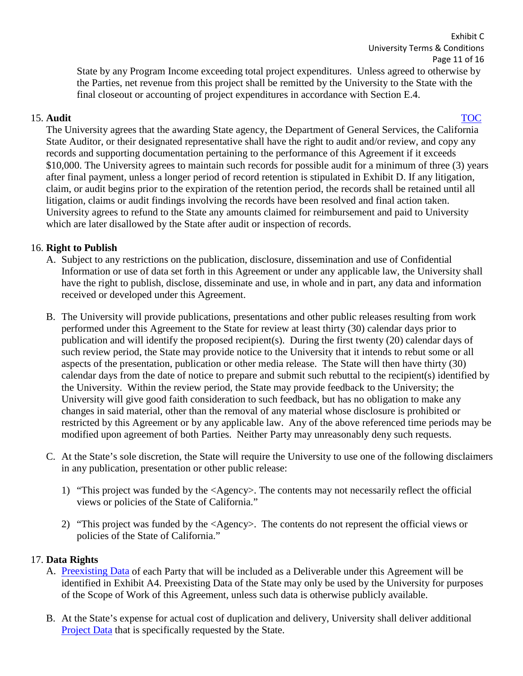Page 11 of 16 State by any Program Income exceeding total project expenditures. Unless agreed to otherwise by the Parties, net revenue from this project shall be remitted by the University to the State with the final closeout or accounting of project expenditures in accordance with Section E.4.

Exhibit C

University Terms & Conditions

<span id="page-10-0"></span>15. **Audit** [TOC](#page-0-0) The University agrees that the awarding State agency, the Department of General Services, the California State Auditor, or their designated representative shall have the right to audit and/or review, and copy any records and supporting documentation pertaining to the performance of this Agreement if it exceeds \$10,000. The University agrees to maintain such records for possible audit for a minimum of three (3) years after final payment, unless a longer period of record retention is stipulated in Exhibit D. If any litigation, claim, or audit begins prior to the expiration of the retention period, the records shall be retained until all litigation, claims or audit findings involving the records have been resolved and final action taken. University agrees to refund to the State any amounts claimed for reimbursement and paid to University which are later disallowed by the State after audit or inspection of records.

## <span id="page-10-1"></span>16. **Right to Publish**

- A. Subject to any restrictions on the publication, disclosure, dissemination and use of Confidential Information or use of data set forth in this Agreement or under any applicable law, the University shall have the right to publish, disclose, disseminate and use, in whole and in part, any data and information received or developed under this Agreement.
- B. The University will provide publications, presentations and other public releases resulting from work performed under this Agreement to the State for review at least thirty (30) calendar days prior to publication and will identify the proposed recipient(s). During the first twenty (20) calendar days of such review period, the State may provide notice to the University that it intends to rebut some or all aspects of the presentation, publication or other media release. The State will then have thirty (30) calendar days from the date of notice to prepare and submit such rebuttal to the recipient(s) identified by the University. Within the review period, the State may provide feedback to the University; the University will give good faith consideration to such feedback, but has no obligation to make any changes in said material, other than the removal of any material whose disclosure is prohibited or restricted by this Agreement or by any applicable law. Any of the above referenced time periods may be modified upon agreement of both Parties. Neither Party may unreasonably deny such requests.
- C. At the State's sole discretion, the State will require the University to use one of the following disclaimers in any publication, presentation or other public release:
	- 1) "This project was funded by the <Agency>. The contents may not necessarily reflect the official views or policies of the State of California."
	- 2) "This project was funded by the <Agency>. The contents do not represent the official views or policies of the State of California."

## <span id="page-10-2"></span>17. **Data Rights**

- A. [Preexisting Data](#page-13-8) of each Party that will be included as a Deliverable under this Agreement will be identified in Exhibit A4. Preexisting Data of the State may only be used by the University for purposes of the Scope of Work of this Agreement, unless such data is otherwise publicly available.
- B. At the State's expense for actual cost of duplication and delivery, University shall deliver additional [Project Data](#page-13-9) that is specifically requested by the State.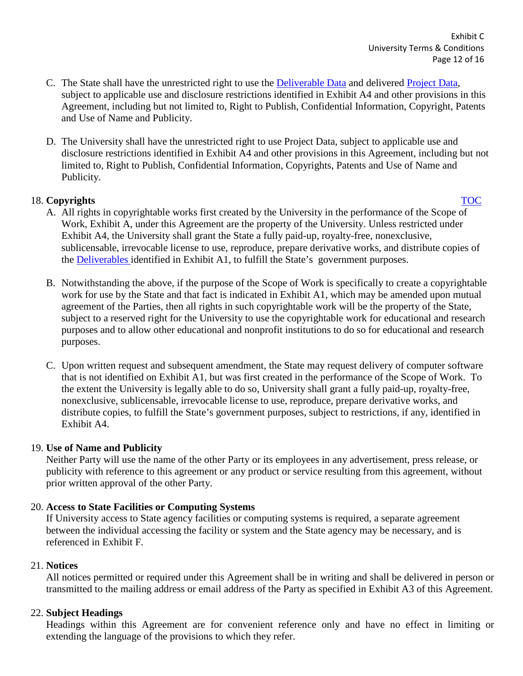- C. The State shall have the unrestricted right to use the [Deliverable Data](#page-14-8) and delivered [Project Data,](#page-13-9) subject to applicable use and disclosure restrictions identified in Exhibit A4 and other provisions in this Agreement, including but not limited to, Right to Publish, Confidential Information, Copyright, Patents and Use of Name and Publicity.
- D. The University shall have the unrestricted right to use Project Data, subject to applicable use and disclosure restrictions identified in Exhibit A4 and other provisions in this Agreement, including but not limited to, Right to Publish, Confidential Information, Copyrights, Patents and Use of Name and Publicity.

# <span id="page-11-0"></span>18. **Copyrights** [TOC](#page-0-0)

- 
- A. All rights in copyrightable works first created by the University in the performance of the Scope of Work, Exhibit A, under this Agreement are the property of the University. Unless restricted under Exhibit A4, the University shall grant the State a fully paid-up*,* royalty-free, nonexclusive, sublicensable, irrevocable license to use, reproduce, prepare derivative works, and distribute copies of the [Deliverables i](#page-14-9)dentified in Exhibit A1, to fulfill the State's government purposes.
- B. Notwithstanding the above, if the purpose of the Scope of Work is specifically to create a copyrightable work for use by the State and that fact is indicated in Exhibit A1, which may be amended upon mutual agreement of the Parties, then all rights in such copyrightable work will be the property of the State, subject to a reserved right for the University to use the copyrightable work for educational and research purposes and to allow other educational and nonprofit institutions to do so for educational and research purposes.
- C. Upon written request and subsequent amendment, the State may request delivery of computer software that is not identified on Exhibit A1, but was first created in the performance of the Scope of Work. To the extent the University is legally able to do so, University shall grant a fully paid-up, royalty-free, nonexclusive, sublicensable, irrevocable license to use, reproduce, prepare derivative works, and distribute copies, to fulfill the State's government purposes, subject to restrictions, if any, identified in Exhibit A4.

# <span id="page-11-1"></span>19. **Use of Name and Publicity**

Neither Party will use the name of the other Party or its employees in any advertisement, press release, or publicity with reference to this agreement or any product or service resulting from this agreement, without prior written approval of the other Party.

# <span id="page-11-2"></span>20. **Access to State Facilities or Computing Systems**

If University access to State agency facilities or computing systems is required, a separate agreement between the individual accessing the facility or system and the State agency may be necessary, and is referenced in Exhibit F.

# <span id="page-11-3"></span>21. **Notices**

All notices permitted or required under this Agreement shall be in writing and shall be delivered in person or transmitted to the mailing address or email address of the Party as specified in Exhibit A3 of this Agreement.

# 22. **Subject Headings**

Headings within this Agreement are for convenient reference only and have no effect in limiting or extending the language of the provisions to which they refer.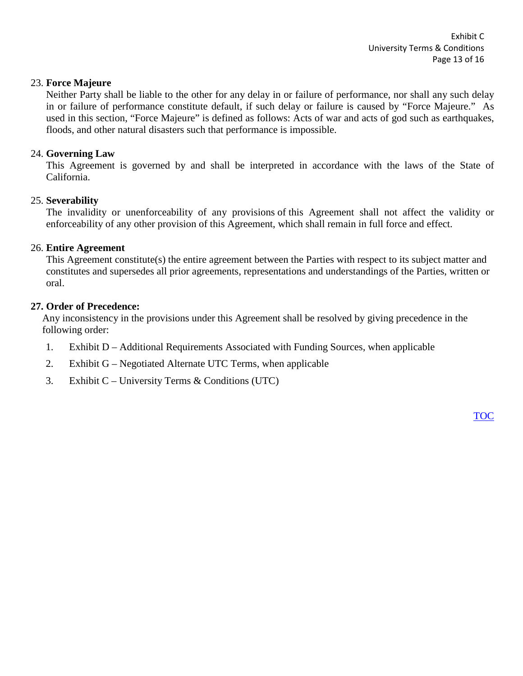## 23. **Force Majeure**

Neither Party shall be liable to the other for any delay in or failure of performance, nor shall any such delay in or failure of performance constitute default, if such delay or failure is caused by "Force Majeure." As used in this section, "Force Majeure" is defined as follows: Acts of war and acts of god such as earthquakes, floods, and other natural disasters such that performance is impossible.

## 24. **Governing Law**

This Agreement is governed by and shall be interpreted in accordance with the laws of the State of California.

## 25. **Severability**

The invalidity or unenforceability of any provisions of this Agreement shall not affect the validity or enforceability of any other provision of this Agreement, which shall remain in full force and effect.

## 26. **Entire Agreement**

This Agreement constitute(s) the entire agreement between the Parties with respect to its subject matter and constitutes and supersedes all prior agreements, representations and understandings of the Parties, written or oral.

## <span id="page-12-0"></span>**27. Order of Precedence:**

Any inconsistency in the provisions under this Agreement shall be resolved by giving precedence in the following order:

- 1. Exhibit D Additional Requirements Associated with Funding Sources, when applicable
- 2. Exhibit G Negotiated Alternate UTC Terms, when applicable
- 3. Exhibit C University Terms & Conditions (UTC)

[TOC](#page-0-0)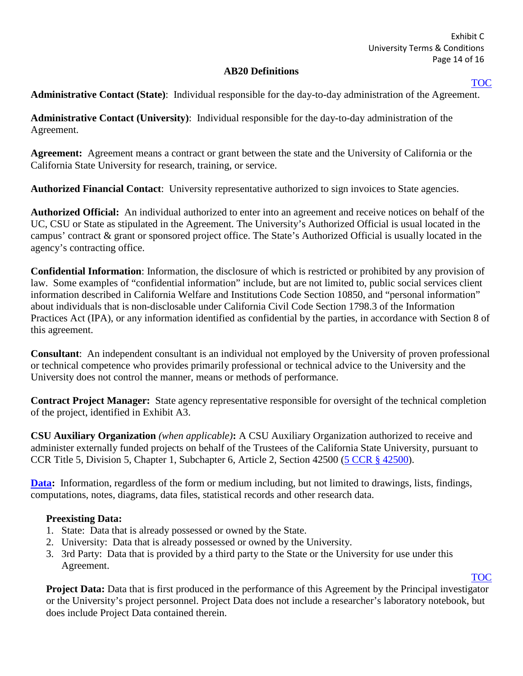### **AB20 Definitions**

### [TOC](#page-0-0)

<span id="page-13-0"></span>**Administrative Contact (State)**: Individual responsible for the day-to-day administration of the Agreement.

**Administrative Contact (University)**: Individual responsible for the day-to-day administration of the Agreement.

<span id="page-13-1"></span>**Agreement:** Agreement means a contract or grant between the state and the University of California or the California State University for research, training, or service.

<span id="page-13-7"></span>**Authorized Financial Contact**: University representative authorized to sign invoices to State agencies.

<span id="page-13-2"></span>**Authorized Official:** An individual authorized to enter into an agreement and receive notices on behalf of the UC, CSU or State as stipulated in the Agreement. The University's Authorized Official is usual located in the campus' contract & grant or sponsored project office. The State's Authorized Official is usually located in the agency's contracting office.

<span id="page-13-3"></span>**Confidential Information**: Information, the disclosure of which is restricted or prohibited by any provision of law. Some examples of "confidential information" include, but are not limited to, public social services client information described in California Welfare and Institutions Code Section 10850, and "personal information" about individuals that is non-disclosable under California Civil Code Section 1798.3 of the Information Practices Act (IPA), or any information identified as confidential by the parties, in accordance with Section 8 of this agreement.

<span id="page-13-4"></span>**Consultant**: An independent consultant is an individual not employed by the University of proven professional or technical competence who provides primarily professional or technical advice to the University and the University does not control the manner, means or methods of performance.

<span id="page-13-6"></span>**Contract Project Manager:** State agency representative responsible for oversight of the technical completion of the project, identified in Exhibit A3.

<span id="page-13-5"></span>**CSU Auxiliary Organization** *(when applicable)***:** A CSU Auxiliary Organization authorized to receive and administer externally funded projects on behalf of the Trustees of the California State University, pursuant to CCR Title 5, Division 5, Chapter 1, Subchapter 6, Article 2, Section 42500 [\(5 CCR § 42500\)](http://government.westlaw.com/linkedslice/default.asp?Action=TOC&RS=GVT1.0&VR=2.0&SP=CCR-1000).

**[Data:](#page-10-2)** Information, regardless of the form or medium including, but not limited to drawings, lists, findings, computations, notes, diagrams, data files, statistical records and other research data.

## <span id="page-13-8"></span>**Preexisting Data:**

- 1. State: Data that is already possessed or owned by the State.
- 2. University: Data that is already possessed or owned by the University.
- 3. 3rd Party: Data that is provided by a third party to the State or the University for use under this Agreement.

# [TOC](#page-0-0)

<span id="page-13-9"></span>**Project Data:** Data that is first produced in the performance of this Agreement by the Principal investigator or the University's project personnel. Project Data does not include a researcher's laboratory notebook, but does include Project Data contained therein.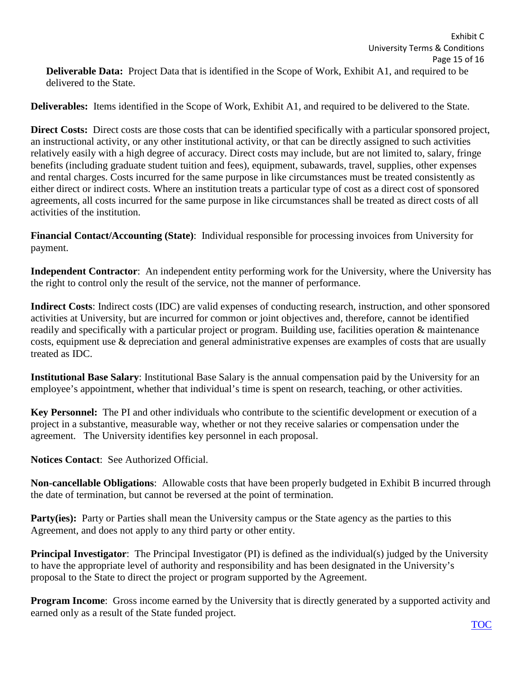<span id="page-14-9"></span><span id="page-14-8"></span>**Deliverables:** Items identified in the Scope of Work, Exhibit A1, and required to be delivered to the State.

<span id="page-14-4"></span>**Direct Costs:** Direct costs are those costs that can be identified specifically with a particular sponsored project, an instructional activity, or any other institutional activity, or that can be directly assigned to such activities relatively easily with a high degree of accuracy. Direct costs may include, but are not limited to, salary, fringe benefits (including graduate student tuition and fees), equipment, subawards, travel, supplies, other expenses and rental charges. Costs incurred for the same purpose in like circumstances must be treated consistently as either direct or indirect costs. Where an institution treats a particular type of cost as a direct cost of sponsored agreements, all costs incurred for the same purpose in like circumstances shall be treated as direct costs of all activities of the institution.

<span id="page-14-6"></span>**Financial Contact/Accounting (State)**: Individual responsible for processing invoices from University for payment.

**Independent Contractor**: An independent entity performing work for the University, where the University has the right to control only the result of the service, not the manner of performance.

<span id="page-14-5"></span>**Indirect Costs**: Indirect costs (IDC) are valid expenses of conducting research, instruction, and other sponsored activities at University, but are incurred for common or joint objectives and, therefore, cannot be identified readily and specifically with a particular project or program. Building use, facilities operation & maintenance costs, equipment use & depreciation and general administrative expenses are examples of costs that are usually treated as IDC.

**Institutional Base Salary**: Institutional Base Salary is the annual compensation paid by the University for an employee's appointment, whether that individual's time is spent on research, teaching, or other activities.

<span id="page-14-3"></span>**Key Personnel:** The PI and other individuals who contribute to the scientific development or execution of a project in a substantive, measurable way, whether or not they receive salaries or compensation under the agreement. The University identifies key personnel in each proposal.

**Notices Contact**: See Authorized Official.

<span id="page-14-2"></span>**Non-cancellable Obligations**: Allowable costs that have been properly budgeted in Exhibit B incurred through the date of termination, but cannot be reversed at the point of termination.

<span id="page-14-0"></span>**Party(ies):** Party or Parties shall mean the University campus or the State agency as the parties to this Agreement, and does not apply to any third party or other entity.

<span id="page-14-1"></span>**Principal Investigator**: The Principal Investigator (PI) is defined as the individual(s) judged by the University to have the appropriate level of authority and responsibility and has been designated in the University's proposal to the State to direct the project or program supported by the Agreement.

<span id="page-14-7"></span>**Program Income:** Gross income earned by the University that is directly generated by a supported activity and earned only as a result of the State funded project.